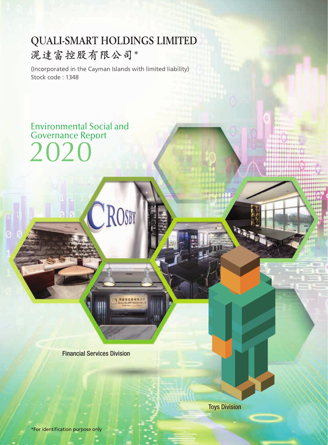# **QUALI-SMART HOLDINGS LIMITED** 滉達富控股有限公司\*

(Incorporated in the Cayman Islands with limited liability) Stock code: 1348

CROSBY

言の長城院

Governance Report 2020

Environmental Social and

Financial Services Division

Toys Division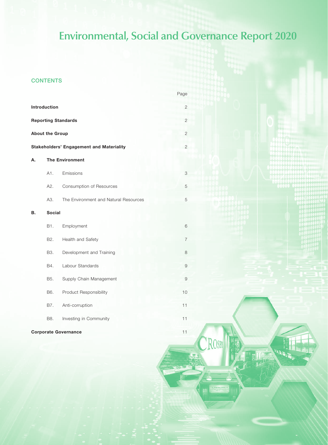**QUALI-SMART HOLDINGS LIMITED ENVIRONMENTAL, SOCIAL AND GOVERNANCE REPORT 2020 1**

**MERSIA** 

ROSBY

## **CONTENTS**

|    |                        |                                                 | Page                      |  |  |  |  |  |
|----|------------------------|-------------------------------------------------|---------------------------|--|--|--|--|--|
|    | Introduction           |                                                 | 2                         |  |  |  |  |  |
|    |                        | <b>Reporting Standards</b>                      | $\overline{2}$            |  |  |  |  |  |
|    | <b>About the Group</b> |                                                 | $\mathbf{2}$              |  |  |  |  |  |
|    |                        | <b>Stakeholders' Engagement and Materiality</b> | $\mathbf{2}$              |  |  |  |  |  |
| А. | <b>The Environment</b> |                                                 |                           |  |  |  |  |  |
|    | A1.                    | Emissions                                       | $\ensuremath{\mathsf{3}}$ |  |  |  |  |  |
|    | A2.                    | Consumption of Resources                        | 5                         |  |  |  |  |  |
|    | A3.                    | The Environment and Natural Resources           | 5                         |  |  |  |  |  |
| В. | <b>Social</b>          |                                                 |                           |  |  |  |  |  |
|    | B1.                    | Employment                                      | 6                         |  |  |  |  |  |
|    | B2.                    | Health and Safety                               | $\overline{7}$            |  |  |  |  |  |
|    | B3.                    | Development and Training                        | 8                         |  |  |  |  |  |
|    | B4.                    | Labour Standards                                | $\mathcal{G}% _{0}$       |  |  |  |  |  |
|    | B5.                    | Supply Chain Management                         | $\mathcal{G}% _{0}$       |  |  |  |  |  |
|    | B6.                    | <b>Product Responsibility</b>                   | 10                        |  |  |  |  |  |
|    | B7.                    | Anti-corruption                                 | 11                        |  |  |  |  |  |
|    | B8.                    | Investing in Community                          | 11                        |  |  |  |  |  |
|    |                        | <b>Corporate Governance</b>                     | 11                        |  |  |  |  |  |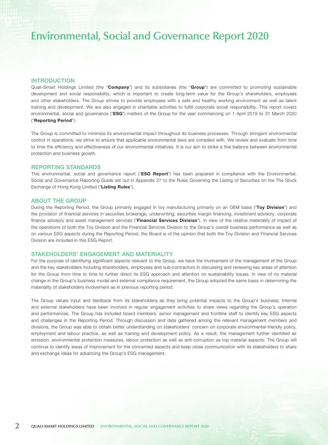## INTRODUCTION

Quali-Smart Holdings Limited (the "Company") and its subsidiaries (the "Group") are committed to promoting sustainable development and social responsibility, which is important to create long-term value for the Group's shareholders, employees and other stakeholders. The Group strives to provide employees with a safe and healthy working environment as well as talent training and development. We are also engaged in charitable activities to fulfill corporate social responsibility. This report covers environmental, social and governance ("ESG") matters of the Group for the year commencing on 1 April 2019 to 31 March 2020 ("Reporting Period").

The Group is committed to minimize its environmental impact throughout its business processes. Through stringent environmental control in operations, we strive to ensure that applicable environmental laws are complied with. We review and evaluate from time to time the efficiency and effectiveness of our environmental initiatives. It is our aim to strike a fine balance between environmental protection and business growth.

### REPORTING STANDARDS

This environmental, social and governance report ("ESG Report") has been prepared in compliance with the Environmental, Social and Governance Reporting Guide set out in Appendix 27 to the Rules Governing the Listing of Securities on the The Stock Exchange of Hong Kong Limited ("Listing Rules").

## ABOUT THE GROUP

During the Reporting Period, the Group primarily engaged in toy manufacturing primarily on an OEM basis ("Toy Division") and the provision of financial services in securities brokerage, underwriting, securities margin financing, investment advisory, corporate finance advisory and asset management services ("Financial Services Division"). In view of the relative materiality of impact of the operations of both the Toy Division and the Financial Services Division to the Group's overall business performance as well as on various ESG aspects during the Reporting Period, the Board is of the opinion that both the Toy Division and Financial Services Division are included in this ESG Report.

## STAKEHOLDERS' ENGAGEMENT AND MATERIALITY

For the purpose of identifying significant aspects relevant to the Group, we have the involvement of the management of the Group and the key stakeholders including shareholders, employees and sub-contractors in discussing and reviewing key areas of attention for the Group from time to time to further direct its ESG approach and attention on sustainability issues. In view of no material change in the Group's business model and external compliance requirement, the Group adopted the same basis in determining the materiality of stakeholders involvement as in previous reporting period.

The Group values input and feedback from its stakeholders as they bring potential impacts to the Group's business. Internal and external stakeholders have been involved in regular engagement activities to share views regarding the Group's operation and performances. The Group has included board members, senior management and frontline staff to identify key ESG aspects and challenges in the Reporting Period. Through discussion and data gathered among the relevant management members and divisions, the Group was able to obtain better understanding on stakeholders' concern on corporate environmental-friendly policy, employment and labour practice, as well as training and development policy. As a result, the management further identified air emission, environmental protection measures, labour protection as well as anti-corruption as top material aspects. The Group will continue to identify areas of improvement for the concerned aspects and keep close communication with its stakeholders to share and exchange ideas for advancing the Group's ESG management.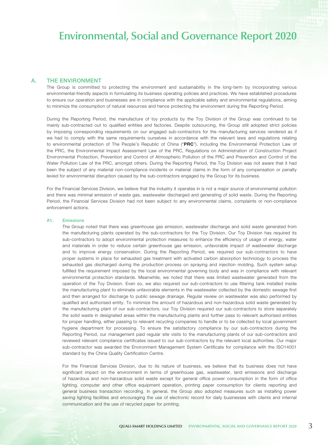## A. THE ENVIRONMENT

The Group is committed to protecting the environment and sustainability in the long-term by incorporating various environmental-friendly aspects in formulating its business operating policies and practices. We have established procedures to ensure our operation and businesses are in compliance with the applicable safety and environmental regulations, aiming to minimize the consumption of natural resources and hence protecting the environment during the Reporting Period.

During the Reporting Period, the manufacture of toy products by the Toy Division of the Group was continued to be mainly sub-contracted out to qualified entities and factories. Despite outsourcing, the Group still adopted strict policies by imposing corresponding requirements on our engaged sub-contractors for the manufacturing services rendered as if we had to comply with the same requirements ourselves in accordance with the relevant laws and regulations relating to environmental protection of The People's Republic of China ("PRC"), including the Environmental Protection Law of the PRC, the Environmental Impact Assessment Law of the PRC, Regulations on Administration of Construction Project Environmental Protection, Prevention and Control of Atmospheric Pollution of the PRC and Prevention and Control of the Water Pollution Law of the PRC, amongst others. During the Reporting Period, the Toy Division was not aware that it had been the subject of any material non-compliance incidents or material claims in the form of any compensation or penalty levied for environmental disruption caused by the sub-contractors engaged by the Group for its business.

For the Financial Services Division, we believe that the industry it operates in is not a major source of environmental pollution and there was minimal emission of waste gas, wastewater discharged and generating of solid waste. During the Reporting Period, the Financial Services Division had not been subject to any environmental claims, complaints or non-compliance enforcement actions.

#### A1. Emissions

The Group noted that there was greenhouse gas emission, wastewater discharge and solid waste generated from the manufacturing plants operated by the sub-contractors for the Toy Division. Our Toy Division has required its sub-contractors to adopt environmental protection measures to enhance the efficiency of usage of energy, water and materials in order to reduce certain greenhouse gas emission, unfavorable impact of wastewater discharge and to improve energy conservation. During the Reporting Period, we required our sub-contractors to have proper systems in place for exhausted gas treatment with activated carbon absorption technology to process the exhausted gas discharged during the production process on spraying and injection molding. Such system setup fulfilled the requirement imposed by the local environmental governing body and was in compliance with relevant environmental protection standards. Meanwhile, we noted that there was limited wastewater generated from the operation of the Toy Division. Even so, we also required our sub-contractors to use filtering tank installed inside the manufacturing plant to eliminate unfavorable elements in the wastewater collected by the domestic sewage first and then arranged for discharge to public sewage drainage. Regular review on wastewater was also performed by qualified and authorised entity. To minimize the amount of hazardous and non-hazardous solid waste generated by the manufacturing plant of our sub-contractors, our Toy Division required our sub-contractors to store separately the solid waste in designated areas within the manufacturing plants and further pass to relevant authorised entities for proper handling, either passing to relevant recycling companies to handle or to be collected by local government hygiene department for processing. To ensure the satisfactory compliance by our sub-contractors during the Reporting Period, our management paid regular site visits to the manufacturing plants of our sub-contractors and reviewed relevant compliance certificates issued to our sub-contractors by the relevant local authorities. Our major sub-contractor was awarded the Environment Management System Certificate for compliance with the ISO14001 standard by the China Quality Certification Centre.

For the Financial Services Division, due to its nature of business, we believe that its business does not have significant impact on the environment in terms of greenhouse gas, wastewater, land emissions and discharge of hazardous and non-harzardous solid waste except for general office power consumption in the form of office lighting, computer and other office equipment operation, printing paper consumption for clients reporting and general business transaction recording. In general, the Group also adopted measures such as installing power saving lighting facilities and encouraging the use of electronic record for daily businesses with clients and internal communication and the use of recycled paper for printing.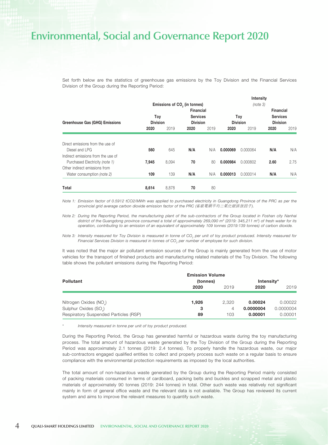Set forth below are the statistics of greenhouse gas emissions by the Toy Division and the Financial Services Division of the Group during the Reporting Period:

|                                       |                                          |       |                                    |      | Intensity       |          |                  |      |  |
|---------------------------------------|------------------------------------------|-------|------------------------------------|------|-----------------|----------|------------------|------|--|
|                                       | Emissions of CO <sub>2</sub> (in tonnes) |       | (note 3)                           |      |                 |          |                  |      |  |
|                                       | <b>Financial</b>                         |       |                                    |      |                 |          | <b>Financial</b> |      |  |
|                                       | Toy                                      |       | <b>Services</b><br><b>Division</b> |      |                 | Toy      | <b>Services</b>  |      |  |
| <b>Greenhouse Gas (GHG) Emissions</b> | <b>Division</b>                          |       |                                    |      | <b>Division</b> |          | <b>Division</b>  |      |  |
|                                       | 2020                                     | 2019  | 2020                               | 2019 | 2020            | 2019     | 2020             | 2019 |  |
|                                       |                                          |       |                                    |      |                 |          |                  |      |  |
| Direct emissions from the use of      |                                          |       |                                    |      |                 |          |                  |      |  |
| Diesel and LPG                        | 560                                      | 645   | N/A                                | N/A  | 0.000069        | 0.000064 | N/A              | N/A  |  |
| Indirect emissions from the use of    |                                          |       |                                    |      |                 |          |                  |      |  |
| Purchased Electricity (note 1)        | 7,945                                    | 8,094 | 70                                 | 80   | 0.000984        | 0.000802 | 2.60             | 2.75 |  |
| Other indirect emissions from         |                                          |       |                                    |      |                 |          |                  |      |  |
| Water consumption (note 2)            | 109                                      | 139   | N/A                                | N/A  | 0.000013        | 0.000014 | N/A              | N/A  |  |
|                                       |                                          |       |                                    |      |                 |          |                  |      |  |
| Total                                 | 8,614                                    | 8,878 | 70                                 | 80   |                 |          |                  |      |  |

*Note 1: Emission factor of 0.5912 tCO2/MWh was applied to purchased electricity in Guangdong Province of the PRC as per the provincial grid average carbon dioxide emission factor of the PRC (*省級電網平均二氧化碳排放因子*).*

*Note 2: During the Reporting Period, the manufacturing plant of the sub-contractors of the Group located in Foshan city Nanhai*  district of the Guangdong province consumed a total of approximately 269,090 m<sup>3</sup> (2019: 345,211 m<sup>3</sup>) of fresh water for its *operation, contributing to an emission of an equivalent of approximately 109 tonnes (2019:139 tonnes) of carbon dioxide.*

*Note 3: Intensity measured for Toy Division is measured in tonne of CO<sub>2</sub> per unit of toy product produced. Intensity measured for Financial Services Division is measured in tonnes of CO2 per number of employee for such division.*

It was noted that the major air pollutant emission sources of the Group is mainly generated from the use of motor vehicles for the transport of finished products and manufacturing related materials of the Toy Division. The following table shows the pollutant emissions during the Reporting Period:

| <b>Pollutant</b>                      | <b>Emission Volume</b><br>(tonnes) | Intensity* |           |           |  |
|---------------------------------------|------------------------------------|------------|-----------|-----------|--|
|                                       | 2020                               | 2019       | 2020      | 2019      |  |
|                                       |                                    |            |           |           |  |
| Nitrogen Oxides (NO)                  | 1.926                              | 2.320      | 0.00024   | 0.00022   |  |
| Sulphur Oxides (SO)                   | 3                                  | 4          | 0.0000004 | 0.0000004 |  |
| Respiratory Suspended Particles (RSP) | 89                                 | 103        | 0.00001   | 0.00001   |  |

Intensity measured in tonne per unit of toy product produced.

During the Reporting Period, the Group has generated harmful or hazardous waste during the toy manufacturing process. The total amount of hazardous waste generated by the Toy Division of the Group during the Reporting Period was approximately 2.1 tonnes (2019: 2.4 tonnes). To properly handle the hazardous waste, our major sub-contractors engaged qualified entities to collect and properly process such waste on a regular basis to ensure compliance with the environmental protection requirements as imposed by the local authorities.

The total amount of non-hazardous waste generated by the Group during the Reporting Period mainly consisted of packing materials consumed in terms of cardboard, packing belts and buckles and scrapped metal and plastic materials of approximately 90 tonnes (2019: 244 tonnes) in total. Other such waste was relatively not significant mainly in form of general office waste and the relevant data is not available. The Group has reviewed its current system and aims to improve the relevant measures to quantify such waste.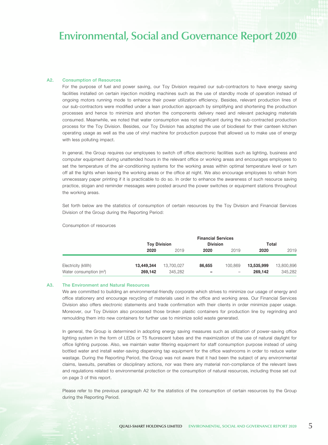### A2. Consumption of Resources

For the purpose of fuel and power saving, our Toy Division required our sub-contractors to have energy saving facilities installed on certain injection molding machines such as the use of standby mode of operation instead of ongoing motors running mode to enhance their power utilization efficiency. Besides, relevant production lines of our sub-contractors were modified under a lean production approach by simplifying and shortening the production processes and hence to minimize and shorten the components delivery need and relevant packaging materials consumed. Meanwhile, we noted that water consumption was not significant during the sub-contracted production process for the Toy Division. Besides, our Toy Division has adopted the use of biodiesel for their canteen kitchen operating usage as well as the use of vinyl machine for production purpose that allowed us to make use of energy with less polluting impact.

In general, the Group requires our employees to switch off office electronic facilities such as lighting, business and computer equipment during unattended hours in the relevant office or working areas and encourages employees to set the temperature of the air-conditioning systems for the working areas within optimal temperature level or turn off all the lights when leaving the working areas or the office at night. We also encourage employees to refrain from unnecessary paper printing if it is practicable to do so. In order to enhance the awareness of such resource saving practice, slogan and reminder messages were posted around the power switches or equipment stations throughout the working areas.

Set forth below are the statistics of consumption of certain resources by the Toy Division and Financial Services Division of the Group during the Reporting Period:

Consumption of resources

|                                     | <b>Financial Services</b> |                     |                 |                 |            |            |  |  |  |
|-------------------------------------|---------------------------|---------------------|-----------------|-----------------|------------|------------|--|--|--|
|                                     |                           | <b>Toy Division</b> | <b>Division</b> |                 | Total      |            |  |  |  |
|                                     | 2020                      | 2019                | 2020            | 2019            | 2020       | 2019       |  |  |  |
| Electricity (kWh)                   | 13,449,344                | 13,700,027          | 86,655          | 100.869         | 13,535,999 | 13,800,896 |  |  |  |
| Water consumption (m <sup>3</sup> ) | 269.142                   | 345.282             | -               | $\qquad \qquad$ | 269.142    | 345.282    |  |  |  |

#### A3. The Environment and Natural Resources

We are committed to building an environmental-friendly corporate which strives to minimize our usage of energy and office stationery and encourage recycling of materials used in the office and working area. Our Financial Services Division also offers electronic statements and trade confirmation with their clients in order minimize paper usage. Moreover, our Toy Division also processed those broken plastic containers for production line by regrinding and remoulding them into new containers for further use to minimize solid waste generated.

In general, the Group is determined in adopting energy saving measures such as utilization of power-saving office lighting system in the form of LEDs or T5 fluorescent tubes and the maximization of the use of natural daylight for office lighting purpose. Also, we maintain water filtering equipment for staff consumption purpose instead of using bottled water and install water-saving dispensing tap equipment for the office washrooms in order to reduce water wastage. During the Reporting Period, the Group was not aware that it had been the subject of any environmental claims, lawsuits, penalties or disciplinary actions, nor was there any material non-compliance of the relevant laws and regulations related to environmental protection or the consumption of natural resources, including those set out on page 3 of this report.

Please refer to the previous paragraph A2 for the statistics of the consumption of certain resources by the Group during the Reporting Period.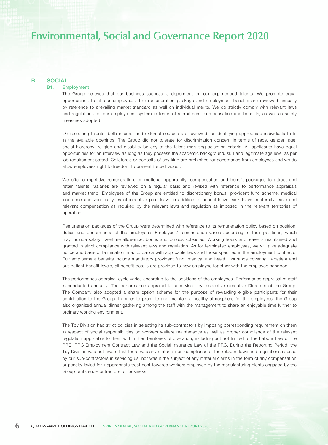## B. SOCIAL

## B1. Employment

The Group believes that our business success is dependent on our experienced talents. We promote equal opportunities to all our employees. The remuneration package and employment benefits are reviewed annually by reference to prevailing market standard as well on individual merits. We do strictly comply with relevant laws and regulations for our employment system in terms of recruitment, compensation and benefits, as well as safety measures adopted.

On recruiting talents, both internal and external sources are reviewed for identifying appropriate individuals to fit in the available openings. The Group did not tolerate for discrimination concern in terms of race, gender, age, social hierarchy, religion and disability be any of the talent recruiting selection criteria. All applicants have equal opportunities for an interview as long as they possess the academic background, skill and legitimate age level as per job requirement stated. Collaterals or deposits of any kind are prohibited for acceptance from employees and we do allow employees right to freedom to prevent forced labour.

We offer competitive remuneration, promotional opportunity, compensation and benefit packages to attract and retain talents. Salaries are reviewed on a regular basis and revised with reference to performance appraisals and market trend. Employees of the Group are entitled to discretionary bonus, provident fund scheme, medical insurance and various types of incentive paid leave in addition to annual leave, sick leave, maternity leave and relevant compensation as required by the relevant laws and regulation as imposed in the relevant territories of operation.

Remuneration packages of the Group were determined with reference to its remuneration policy based on position, duties and performance of the employees. Employees' remuneration varies according to their positions, which may include salary, overtime allowance, bonus and various subsidies. Working hours and leave is maintained and granted in strict compliance with relevant laws and regulation. As for terminated employees, we will give adequate notice and basis of termination in accordance with applicable laws and those specified in the employment contracts. Our employment benefits include mandatory provident fund, medical and health insurance covering in-patient and out-patient benefit levels, all benefit details are provided to new employee together with the employee handbook.

The performance appraisal cycle varies according to the positions of the employees. Performance appraisal of staff is conducted annually. The performance appraisal is supervised by respective executive Directors of the Group. The Company also adopted a share option scheme for the purpose of rewarding eligible participants for their contribution to the Group. In order to promote and maintain a healthy atmosphere for the employees, the Group also organized annual dinner gathering among the staff with the management to share an enjoyable time further to ordinary working environment.

The Toy Division had strict policies in selecting its sub-contractors by imposing corresponding requirement on them in respect of social responsibilities on workers welfare maintenance as well as proper compliance of the relevant regulation applicable to them within their territories of operation, including but not limited to the Labour Law of the PRC, PRC Employment Contract Law and the Social Insurance Law of the PRC. During the Reporting Period, the Toy Division was not aware that there was any material non-compliance of the relevant laws and regulations caused by our sub-contractors in servicing us, nor was it the subject of any material claims in the form of any compensation or penalty levied for inappropriate treatment towards workers employed by the manufacturing plants engaged by the Group or its sub-contractors for business.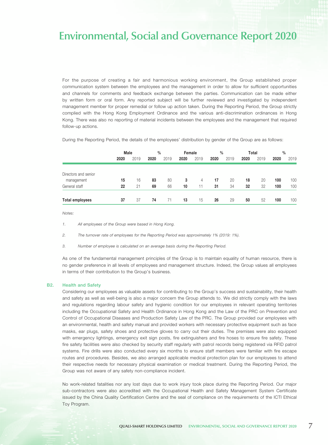For the purpose of creating a fair and harmonious working environment, the Group established proper communication system between the employees and the management in order to allow for sufficient opportunities and channels for comments and feedback exchange between the parties. Communication can be made either by written form or oral form. Any reported subject will be further reviewed and investigated by independent management member for proper remedial or follow up action taken. During the Reporting Period, the Group strictly complied with the Hong Kong Employment Ordinance and the various anti-discrimination ordinances in Hong Kong. There was also no reporting of material incidents between the employees and the management that required follow-up actions.

During the Reporting Period, the details of the employees' distribution by gender of the Group are as follows:

|                        | Male |      | $\frac{0}{0}$ |      | Female |      | $\frac{0}{0}$ |      | Total |      | $\frac{0}{0}$ |      |
|------------------------|------|------|---------------|------|--------|------|---------------|------|-------|------|---------------|------|
|                        | 2020 | 2019 | 2020          | 2019 | 2020   | 2019 | 2020          | 2019 | 2020  | 2019 | 2020          | 2019 |
|                        |      |      |               |      |        |      |               |      |       |      |               |      |
| Directors and senior   |      |      |               |      |        |      |               |      |       |      |               |      |
| management             | 15   | 16   | 83            | 80   | 3      | 4    | 17            | 20   | 18    | 20   | 100           | 100  |
| General staff          | 22   | 21   | 69            | 66   | 10     | 11   | 31            | 34   | 32    | 32   | 100           | 100  |
| <b>Total employees</b> | 37   | 37   | 74            | 71   | 13     | 15   | 26            | 29   | 50    | 52   | 100           | 100  |

*Notes:*

*1. All employees of the Group were based in Hong Kong.*

*2. The turnover rate of employees for the Reporting Period was approximately 1% (2019: 1%).*

*3. Number of employee is calculated on an average basis during the Reporting Period.*

As one of the fundamental management principles of the Group is to maintain equality of human resource, there is no gender preference in all levels of employees and management structure. Indeed, the Group values all employees in terms of their contribution to the Group's business.

### B2. Health and Safety

Considering our employees as valuable assets for contributing to the Group's success and sustainability, their health and safety as well as well-being is also a major concern the Group attends to. We did strictly comply with the laws and regulations regarding labour safety and hygienic condition for our employees in relevant operating territories including the Occupational Safety and Health Ordinance in Hong Kong and the Law of the PRC on Prevention and Control of Occupational Diseases and Production Safety Law of the PRC. The Group provided our employees with an environmental, health and safety manual and provided workers with necessary protective equipment such as face masks, ear plugs, safety shoes and protective gloves to carry out their duties. The premises were also equipped with emergency lightings, emergency exit sign posts, fire extinguishers and fire hoses to ensure fire safety. These fire safety facilities were also checked by security staff regularly with patrol records being registered via RFID patrol systems. Fire drills were also conducted every six months to ensure staff members were familiar with fire escape routes and procedures. Besides, we also arranged applicable medical protection plan for our employees to attend their respective needs for necessary physical examination or medical treatment. During the Reporting Period, the Group was not aware of any safety non-compliance incident.

No work-related fatalities nor any lost days due to work injury took place during the Reporting Period. Our major sub-contractors were also accredited with the Occupational Health and Safety Management System Certificate issued by the China Quality Certification Centre and the seal of compliance on the requirements of the ICTI Ethical Toy Program.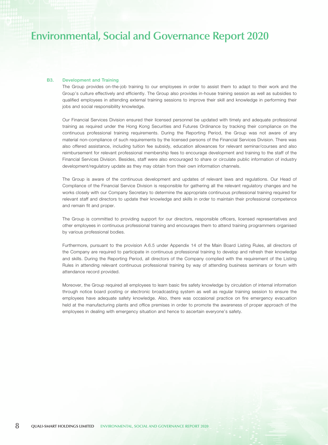### B3. Development and Training

The Group provides on-the-job training to our employees in order to assist them to adapt to their work and the Group's culture effectively and efficiently. The Group also provides in-house training session as well as subsidies to qualified employees in attending external training sessions to improve their skill and knowledge in performing their jobs and social responsibility knowledge.

Our Financial Services Division ensured their licensed personnel be updated with timely and adequate professional training as required under the Hong Kong Securities and Futures Ordinance by tracking their compliance on the continuous professional training requirements. During the Reporting Period, the Group was not aware of any material non-compliance of such requirements by the licensed persons of the Financial Services Division. There was also offered assistance, including tuition fee subsidy, education allowances for relevant seminar/courses and also reimbursement for relevant professional membership fees to encourage development and training to the staff of the Financial Services Division. Besides, staff were also encouraged to share or circulate public information of industry development/regulatory update as they may obtain from their own information channels.

The Group is aware of the continuous development and updates of relevant laws and regulations. Our Head of Compliance of the Financial Service Division is responsible for gathering all the relevant regulatory changes and he works closely with our Company Secretary to determine the appropriate continuous professional training required for relevant staff and directors to update their knowledge and skills in order to maintain their professional competence and remain fit and proper.

The Group is committed to providing support for our directors, responsible officers, licensed representatives and other employees in continuous professional training and encourages them to attend training programmers organised by various professional bodies.

Furthermore, pursuant to the provision A.6.5 under Appendix 14 of the Main Board Listing Rules, all directors of the Company are required to participate in continuous professional training to develop and refresh their knowledge and skills. During the Reporting Period, all directors of the Company complied with the requirement of the Listing Rules in attending relevant continuous professional training by way of attending business seminars or forum with attendance record provided.

Moreover, the Group required all employees to learn basic fire safety knowledge by circulation of internal information through notice board posting or electronic broadcasting system as well as regular training session to ensure the employees have adequate safety knowledge. Also, there was occasional practice on fire emergency evacuation held at the manufacturing plants and office premises in order to promote the awareness of proper approach of the employees in dealing with emergency situation and hence to ascertain everyone's safety.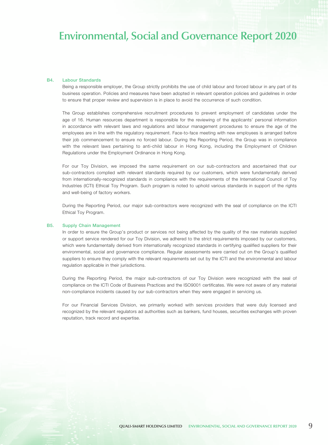### B4. Labour Standards

Being a responsible employer, the Group strictly prohibits the use of child labour and forced labour in any part of its business operation. Policies and measures have been adopted in relevant operation policies and guidelines in order to ensure that proper review and supervision is in place to avoid the occurrence of such condition.

The Group establishes comprehensive recruitment procedures to prevent employment of candidates under the age of 16. Human resources department is responsible for the reviewing of the applicants' personal information in accordance with relevant laws and regulations and labour management procedures to ensure the age of the employees are in line with the regulatory requirement. Face-to-face meeting with new employees is arranged before their job commencement to ensure no forced labour. During the Reporting Period, the Group was in compliance with the relevant laws pertaining to anti-child labour in Hong Kong, including the Employment of Children Regulations under the Employment Ordinance in Hong Kong.

For our Toy Division, we imposed the same requirement on our sub-contractors and ascertained that our sub-contractors complied with relevant standards required by our customers, which were fundamentally derived from internationally-recognized standards in compliance with the requirements of the International Council of Toy Industries (ICTI) Ethical Toy Program. Such program is noted to uphold various standards in support of the rights and well-being of factory workers.

During the Reporting Period, our major sub-contractors were recognized with the seal of compliance on the ICTI Ethical Toy Program.

### B5. Supply Chain Management

In order to ensure the Group's product or services not being affected by the quality of the raw materials supplied or support service rendered for our Toy Division, we adhered to the strict requirements imposed by our customers, which were fundamentally derived from internationally recognized standards in certifying qualified suppliers for their environmental, social and governance compliance. Regular assessments were carried out on the Group's qualified suppliers to ensure they comply with the relevant requirements set out by the ICTI and the environmental and labour regulation applicable in their jurisdictions.

During the Reporting Period, the major sub-contractors of our Toy Division were recognized with the seal of compliance on the ICTI Code of Business Practices and the ISO9001 certificates. We were not aware of any material non-compliance incidents caused by our sub-contractors when they were engaged in servicing us.

For our Financial Services Division, we primarily worked with services providers that were duly licensed and recognized by the relevant regulators ad authorities such as bankers, fund houses, securities exchanges with proven reputation, track record and expertise.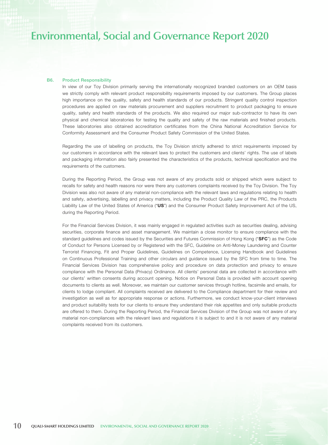### B6. Product Responsibility

In view of our Toy Division primarily serving the internationally recognized branded customers on an OEM basis we strictly comply with relevant product responsibility requirements imposed by our customers. The Group places high importance on the quality, safety and health standards of our products. Stringent quality control inspection procedures are applied on raw materials procurement and suppliers recruitment to product packaging to ensure quality, safety and health standards of the products. We also required our major sub-contractor to have its own physical and chemical laboratories for testing the quality and safety of the raw materials and finished products. These laboratories also obtained accreditation certificates from the China National Accreditation Service for Conformity Assessment and the Consumer Product Safety Commission of the United States.

Regarding the use of labelling on products, the Toy Division strictly adhered to strict requirements imposed by our customers in accordance with the relevant laws to protect the customers and clients' rights. The use of labels and packaging information also fairly presented the characteristics of the products, technical specification and the requirements of the customers.

During the Reporting Period, the Group was not aware of any products sold or shipped which were subject to recalls for safety and health reasons nor were there any customers complaints received by the Toy Division. The Toy Division was also not aware of any material non-compliance with the relevant laws and regulations relating to health and safety, advertising, labelling and privacy matters, including the Product Quality Law of the PRC, the Products Liability Law of the United States of America ("US") and the Consumer Product Safety Improvement Act of the US, during the Reporting Period.

For the Financial Services Division, it was mainly engaged in regulated activities such as securities dealing, advising securities, corporate finance and asset management. We maintain a close monitor to ensure compliance with the standard quidelines and codes issued by the Securities and Futures Commission of Hong Kong ("SFC") as the Code of Conduct for Persons Licensed by or Registered with the SFC, Guideline on Anti-Money Laundering and Counter Terrorist Financing, Fit and Proper Guidelines, Guidelines on Competence, Licensing Handbook and Guidelines on Continuous Professional Training and other circulars and guidance issued by the SFC from time to time. The Financial Services Division has comprehensive policy and procedure on data protection and privacy to ensure compliance with the Personal Data (Privacy) Ordinance. All clients' personal data are collected in accordance with our clients' written consents during account opening. Notice on Personal Data is provided with account opening documents to clients as well. Moreover, we maintain our customer services through hotline, facsimile and emails, for clients to lodge compliant. All complaints received are delivered to the Compliance department for their review and investigation as well as for appropriate response or actions. Furthermore, we conduct know-your-client interviews and product suitability tests for our clients to ensure they understand their risk appetites and only suitable products are offered to them. During the Reporting Period, the Financial Services Division of the Group was not aware of any material non-compliances with the relevant laws and regulations it is subject to and it is not aware of any material complaints received from its customers.